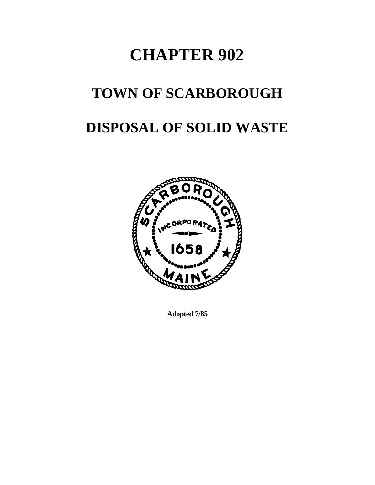# **CHAPTER 902**

# **TOWN OF SCARBOROUGH**

# **DISPOSAL OF SOLID WASTE**



**Adopted 7/85**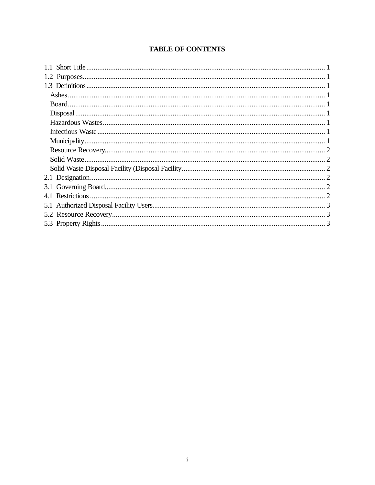# **TABLE OF CONTENTS**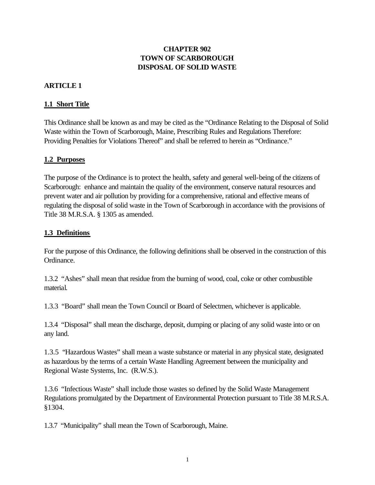#### **CHAPTER 902 TOWN OF SCARBOROUGH DISPOSAL OF SOLID WASTE**

#### **ARTICLE 1**

#### **1.1 Short Title**

This Ordinance shall be known as and may be cited as the "Ordinance Relating to the Disposal of Solid Waste within the Town of Scarborough, Maine, Prescribing Rules and Regulations Therefore: Providing Penalties for Violations Thereof" and shall be referred to herein as "Ordinance."

#### **1.2 Purposes**

The purpose of the Ordinance is to protect the health, safety and general well-being of the citizens of Scarborough: enhance and maintain the quality of the environment, conserve natural resources and prevent water and air pollution by providing for a comprehensive, rational and effective means of regulating the disposal of solid waste in the Town of Scarborough in accordance with the provisions of Title 38 M.R.S.A. § 1305 as amended.

#### **1.3 Definitions**

For the purpose of this Ordinance, the following definitions shall be observed in the construction of this Ordinance.

1.3.2 "Ashes" shall mean that residue from the burning of wood, coal, coke or other combustible material.

1.3.3 "Board" shall mean the Town Council or Board of Selectmen, whichever is applicable.

1.3.4 "Disposal" shall mean the discharge, deposit, dumping or placing of any solid waste into or on any land.

1.3.5 "Hazardous Wastes" shall mean a waste substance or material in any physical state, designated as hazardous by the terms of a certain Waste Handling Agreement between the municipality and Regional Waste Systems, Inc. (R.W.S.).

1.3.6 "Infectious Waste" shall include those wastes so defined by the Solid Waste Management Regulations promulgated by the Department of Environmental Protection pursuant to Title 38 M.R.S.A. §1304.

1.3.7 "Municipality" shall mean the Town of Scarborough, Maine.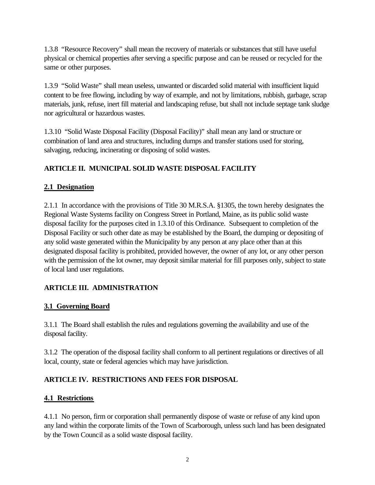1.3.8 "Resource Recovery" shall mean the recovery of materials or substances that still have useful physical or chemical properties after serving a specific purpose and can be reused or recycled for the same or other purposes.

1.3.9 "Solid Waste" shall mean useless, unwanted or discarded solid material with insufficient liquid content to be free flowing, including by way of example, and not by limitations, rubbish, garbage, scrap materials, junk, refuse, inert fill material and landscaping refuse, but shall not include septage tank sludge nor agricultural or hazardous wastes.

1.3.10 "Solid Waste Disposal Facility (Disposal Facility)" shall mean any land or structure or combination of land area and structures, including dumps and transfer stations used for storing, salvaging, reducing, incinerating or disposing of solid wastes.

# **ARTICLE II. MUNICIPAL SOLID WASTE DISPOSAL FACILITY**

# **2.1 Designation**

2.1.1 In accordance with the provisions of Title 30 M.R.S.A. §1305, the town hereby designates the Regional Waste Systems facility on Congress Street in Portland, Maine, as its public solid waste disposal facility for the purposes cited in 1.3.10 of this Ordinance. Subsequent to completion of the Disposal Facility or such other date as may be established by the Board, the dumping or depositing of any solid waste generated within the Municipality by any person at any place other than at this designated disposal facility is prohibited, provided however, the owner of any lot, or any other person with the permission of the lot owner, may deposit similar material for fill purposes only, subject to state of local land user regulations.

# **ARTICLE III. ADMINISTRATION**

# **3.1 Governing Board**

3.1.1 The Board shall establish the rules and regulations governing the availability and use of the disposal facility.

3.1.2 The operation of the disposal facility shall conform to all pertinent regulations or directives of all local, county, state or federal agencies which may have jurisdiction.

# **ARTICLE IV. RESTRICTIONS AND FEES FOR DISPOSAL**

#### **4.1 Restrictions**

4.1.1 No person, firm or corporation shall permanently dispose of waste or refuse of any kind upon any land within the corporate limits of the Town of Scarborough, unless such land has been designated by the Town Council as a solid waste disposal facility.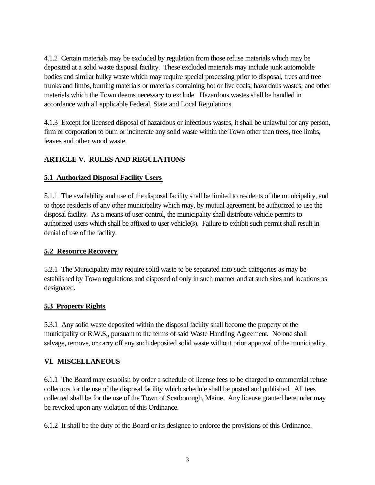4.1.2 Certain materials may be excluded by regulation from those refuse materials which may be deposited at a solid waste disposal facility. These excluded materials may include junk automobile bodies and similar bulky waste which may require special processing prior to disposal, trees and tree trunks and limbs, burning materials or materials containing hot or live coals; hazardous wastes; and other materials which the Town deems necessary to exclude. Hazardous wastes shall be handled in accordance with all applicable Federal, State and Local Regulations.

4.1.3 Except for licensed disposal of hazardous or infectious wastes, it shall be unlawful for any person, firm or corporation to burn or incinerate any solid waste within the Town other than trees, tree limbs, leaves and other wood waste.

# **ARTICLE V. RULES AND REGULATIONS**

#### **5.1 Authorized Disposal Facility Users**

5.1.1 The availability and use of the disposal facility shall be limited to residents of the municipality, and to those residents of any other municipality which may, by mutual agreement, be authorized to use the disposal facility. As a means of user control, the municipality shall distribute vehicle permits to authorized users which shall be affixed to user vehicle(s). Failure to exhibit such permit shall result in denial of use of the facility.

#### **5.2 Resource Recovery**

5.2.1 The Municipality may require solid waste to be separated into such categories as may be established by Town regulations and disposed of only in such manner and at such sites and locations as designated.

# **5.3 Property Rights**

5.3.1 Any solid waste deposited within the disposal facility shall become the property of the municipality or R.W.S., pursuant to the terms of said Waste Handling Agreement. No one shall salvage, remove, or carry off any such deposited solid waste without prior approval of the municipality.

#### **VI. MISCELLANEOUS**

6.1.1 The Board may establish by order a schedule of license fees to be charged to commercial refuse collectors for the use of the disposal facility which schedule shall be posted and published. All fees collected shall be for the use of the Town of Scarborough, Maine. Any license granted hereunder may be revoked upon any violation of this Ordinance.

6.1.2 It shall be the duty of the Board or its designee to enforce the provisions of this Ordinance.